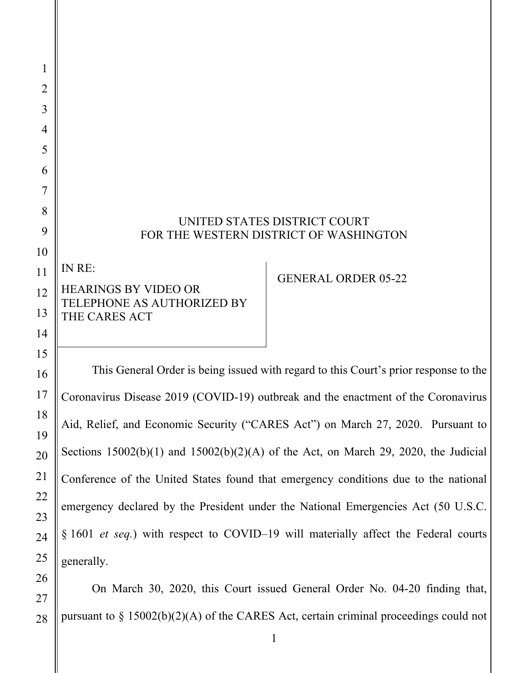| 1              |                                                                         |                            |
|----------------|-------------------------------------------------------------------------|----------------------------|
| $\overline{2}$ |                                                                         |                            |
| 3              |                                                                         |                            |
| 4              |                                                                         |                            |
| 5              |                                                                         |                            |
| 6              |                                                                         |                            |
| 7              |                                                                         |                            |
| 8              |                                                                         |                            |
| 9              | UNITED STATES DISTRICT COURT<br>FOR THE WESTERN DISTRICT OF WASHINGTON  |                            |
| 10             |                                                                         |                            |
| 11             | IN RE:                                                                  | <b>GENERAL ORDER 05-22</b> |
| 12             | <b>HEARINGS BY VIDEO OR</b>                                             |                            |
| 13             | TELEPHONE AS AUTHORIZED BY<br>THE CARES ACT                             |                            |
| 14             |                                                                         |                            |
| 15             |                                                                         |                            |
| 16             | This General Order is being issued with regard to this Court's prior re |                            |

esponse to the Coronavirus Disease 2019 (COVID-19) outbreak and the enactment of the Coronavirus Aid, Relief, and Economic Security ("CARES Act") on March 27, 2020. Pursuant to Sections  $15002(b)(1)$  and  $15002(b)(2)(A)$  of the Act, on March 29, 2020, the Judicial Conference of the United States found that emergency conditions due to the national emergency declared by the President under the National Emergencies Act (50 U.S.C. § 1601 *et seq.*) with respect to COVID–19 will materially affect the Federal courts generally.

 On March 30, 2020, this Court issued General Order No. 04-20 finding that, pursuant to § 15002(b)(2)(A) of the CARES Act, certain criminal proceedings could not